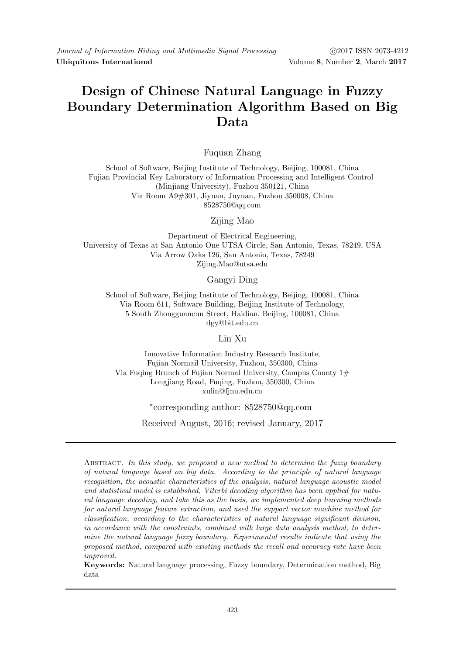# Design of Chinese Natural Language in Fuzzy Boundary Determination Algorithm Based on Big Data

Fuquan Zhang

School of Software, Beijing Institute of Technology, Beijing, 100081, China Fujian Provincial Key Laboratory of Information Processing and Intelligent Control (Minjiang University), Fuzhou 350121, China Via Room A9#301, Jiyuan, Juyuan, Fuzhou 350008, China 8528750@qq.com

Zijing Mao

Department of Electrical Engineering, University of Texas at San Antonio One UTSA Circle, San Antonio, Texas, 78249, USA Via Arrow Oaks 126, San Antonio, Texas, 78249 Zijing.Mao@utsa.edu

Gangyi Ding

School of Software, Beijing Institute of Technology, Beijing, 100081, China Via Room 611, Software Building, Beijing Institute of Technology, 5 South Zhongguancun Street, Haidian, Beijing, 100081, China dgy@bit.edu.cn

Lin Xu

Innovative Information Industry Research Institute, Fujian Normail University, Fuzhou, 350300, China Via Fuqing Brunch of Fujian Normal University, Campus County  $1#$ Longjiang Road, Fuqing, Fuzhou, 350300, China xulin@fjnu.edu.cn

∗ corresponding author: 8528750@qq.com

Received August, 2016; revised January, 2017

ABSTRACT. In this study, we proposed a new method to determine the fuzzy boundary of natural language based on big data. According to the principle of natural language recognition, the acoustic characteristics of the analysis, natural language acoustic model and statistical model is established, Viterbi decoding algorithm has been applied for natural language decoding, and take this as the basis, we implemented deep learning methods for natural language feature extraction, and used the support vector machine method for classification, according to the characteristics of natural language significant division, in accordance with the constraints, combined with large data analysis method, to determine the natural language fuzzy boundary. Experimental results indicate that using the proposed method, compared with existing methods the recall and accuracy rate have been improved.

Keywords: Natural language processing, Fuzzy boundary, Determination method, Big data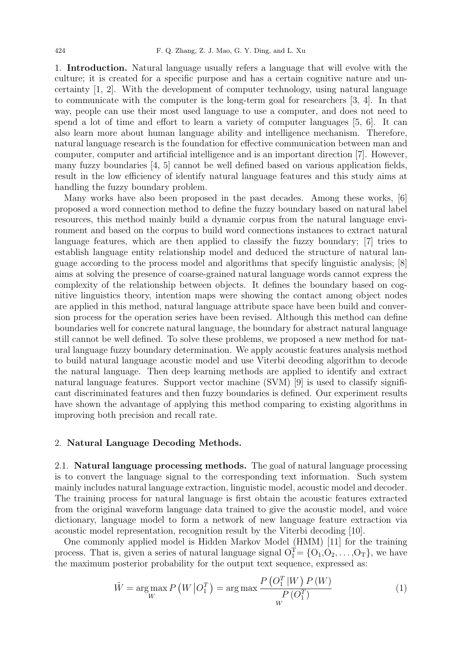1. Introduction. Natural language usually refers a language that will evolve with the culture; it is created for a specific purpose and has a certain cognitive nature and uncertainty [1, 2]. With the development of computer technology, using natural language to communicate with the computer is the long-term goal for researchers [3, 4]. In that way, people can use their most used language to use a computer, and does not need to spend a lot of time and effort to learn a variety of computer languages [5, 6]. It can also learn more about human language ability and intelligence mechanism. Therefore, natural language research is the foundation for effective communication between man and computer, computer and artificial intelligence and is an important direction [7]. However, many fuzzy boundaries [4, 5] cannot be well defined based on various application fields, result in the low efficiency of identify natural language features and this study aims at handling the fuzzy boundary problem.

Many works have also been proposed in the past decades. Among these works, [6] proposed a word connection method to define the fuzzy boundary based on natural label resources, this method mainly build a dynamic corpus from the natural language environment and based on the corpus to build word connections instances to extract natural language features, which are then applied to classify the fuzzy boundary; [7] tries to establish language entity relationship model and deduced the structure of natural language according to the process model and algorithms that specify linguistic analysis; [8] aims at solving the presence of coarse-grained natural language words cannot express the complexity of the relationship between objects. It defines the boundary based on cognitive linguistics theory, intention maps were showing the contact among object nodes are applied in this method, natural language attribute space have been build and conversion process for the operation series have been revised. Although this method can define boundaries well for concrete natural language, the boundary for abstract natural language still cannot be well defined. To solve these problems, we proposed a new method for natural language fuzzy boundary determination. We apply acoustic features analysis method to build natural language acoustic model and use Viterbi decoding algorithm to decode the natural language. Then deep learning methods are applied to identify and extract natural language features. Support vector machine (SVM) [9] is used to classify significant discriminated features and then fuzzy boundaries is defined. Our experiment results have shown the advantage of applying this method comparing to existing algorithms in improving both precision and recall rate.

### 2. Natural Language Decoding Methods.

2.1. Natural language processing methods. The goal of natural language processing is to convert the language signal to the corresponding text information. Such system mainly includes natural language extraction, linguistic model, acoustic model and decoder. The training process for natural language is first obtain the acoustic features extracted from the original waveform language data trained to give the acoustic model, and voice dictionary, language model to form a network of new language feature extraction via acoustic model representation, recognition result by the Viterbi decoding [10].

One commonly applied model is Hidden Markov Model (HMM) [11] for the training process. That is, given a series of natural language signal  $O_1^T = \{O_1, O_2, \ldots, O_T\}$ , we have the maximum posterior probability for the output text sequence, expressed as:

$$
\tilde{W} = \underset{W}{\arg \max} P\left(W \middle| O_1^T\right) = \underset{W}{\arg \max} \frac{P\left(O_1^T \middle| W\right) P\left(W\right)}{P\left(O_1^T\right)}\tag{1}
$$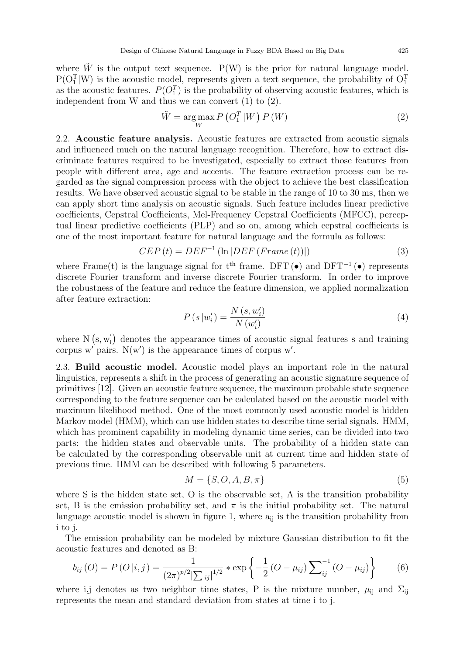where  $\tilde{W}$  is the output text sequence.  $P(W)$  is the prior for natural language model.  $P(O_1^T|W)$  is the acoustic model, represents given a text sequence, the probability of  $O_1^T$ as the acoustic features.  $P(O_1^T)$  is the probability of observing acoustic features, which is independent from W and thus we can convert (1) to (2).

$$
\tilde{W} = \underset{W}{\text{arg}\max} P\left(O_1^T \,| W\right) P\left(W\right) \tag{2}
$$

2.2. Acoustic feature analysis. Acoustic features are extracted from acoustic signals and influenced much on the natural language recognition. Therefore, how to extract discriminate features required to be investigated, especially to extract those features from people with different area, age and accents. The feature extraction process can be regarded as the signal compression process with the object to achieve the best classification results. We have observed acoustic signal to be stable in the range of 10 to 30 ms, then we can apply short time analysis on acoustic signals. Such feature includes linear predictive coefficients, Cepstral Coefficients, Mel-Frequency Cepstral Coefficients (MFCC), perceptual linear predictive coefficients (PLP) and so on, among which cepstral coefficients is one of the most important feature for natural language and the formula as follows:

$$
CEP(t) = DEF^{-1} (\ln |DEF(Frame(t))|)
$$
\n(3)

where Frame(t) is the language signal for  $t<sup>th</sup>$  frame. DFT ( $\bullet$ ) and DFT<sup>-1</sup> ( $\bullet$ ) represents discrete Fourier transform and inverse discrete Fourier transform. In order to improve the robustness of the feature and reduce the feature dimension, we applied normalization after feature extraction:

$$
P(s|w'_{i}) = \frac{N(s, w'_{i})}{N(w'_{i})}
$$
\n
$$
(4)
$$

where  $N(s, w'_i)$ i denotes the appearance times of acoustic signal features s and training corpus w' pairs.  $N(w')$  is the appearance times of corpus w'.

2.3. Build acoustic model. Acoustic model plays an important role in the natural linguistics, represents a shift in the process of generating an acoustic signature sequence of primitives [12]. Given an acoustic feature sequence, the maximum probable state sequence corresponding to the feature sequence can be calculated based on the acoustic model with maximum likelihood method. One of the most commonly used acoustic model is hidden Markov model (HMM), which can use hidden states to describe time serial signals. HMM, which has prominent capability in modeling dynamic time series, can be divided into two parts: the hidden states and observable units. The probability of a hidden state can be calculated by the corresponding observable unit at current time and hidden state of previous time. HMM can be described with following 5 parameters.

$$
M = \{S, O, A, B, \pi\}
$$
\n<sup>(5)</sup>

where S is the hidden state set,  $\overline{O}$  is the observable set,  $\overline{A}$  is the transition probability set, B is the emission probability set, and  $\pi$  is the initial probability set. The natural language acoustic model is shown in figure 1, where  $a_{ii}$  is the transition probability from i to j.

The emission probability can be modeled by mixture Gaussian distribution to fit the acoustic features and denoted as B:

$$
b_{ij}(O) = P(O|i, j) = \frac{1}{(2\pi)^{p/2} |\sum_{ij}|^{1/2}} * \exp\left\{-\frac{1}{2}(O - \mu_{ij})\sum_{ij}^{-1}(O - \mu_{ij})\right\}
$$
(6)

where i,j denotes as two neighbor time states, P is the mixture number,  $\mu_{ij}$  and  $\Sigma_{ij}$ represents the mean and standard deviation from states at time i to j.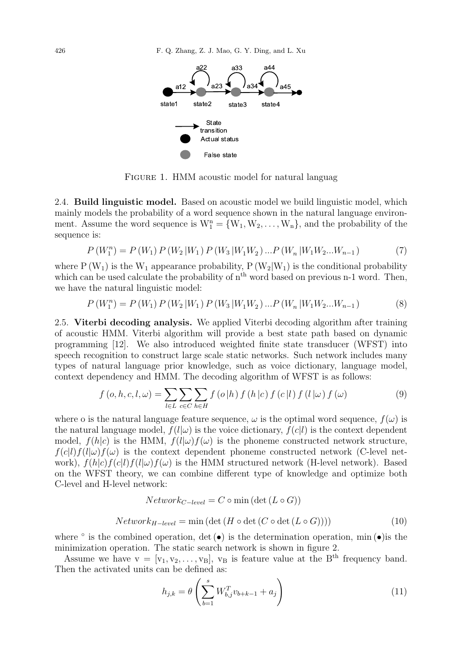

FIGURE 1. HMM acoustic model for natural languag

2.4. Build linguistic model. Based on acoustic model we build linguistic model, which mainly models the probability of a word sequence shown in the natural language environment. Assume the word sequence is  $W_1^n = \{W_1, W_2, \ldots, W_n\}$ , and the probability of the sequence is:

$$
P(W_1^n) = P(W_1) P(W_2 | W_1) P(W_3 | W_1 W_2) ... P(W_n | W_1 W_2 ... W_{n-1})
$$
\n<sup>(7)</sup>

where  $P(W_1)$  is the W<sub>1</sub> appearance probability,  $P(W_2|W_1)$  is the conditional probability which can be used calculate the probability of  $n<sup>th</sup>$  word based on previous n-1 word. Then, we have the natural linguistic model:

$$
P(W_1^n) = P(W_1) P(W_2 | W_1) P(W_3 | W_1 W_2) ... P(W_n | W_1 W_2 ... W_{n-1})
$$
\n(8)

2.5. Viterbi decoding analysis. We applied Viterbi decoding algorithm after training of acoustic HMM. Viterbi algorithm will provide a best state path based on dynamic programming [12]. We also introduced weighted finite state transducer (WFST) into speech recognition to construct large scale static networks. Such network includes many types of natural language prior knowledge, such as voice dictionary, language model, context dependency and HMM. The decoding algorithm of WFST is as follows:

$$
f\left(o,h,c,l,\omega\right) = \sum_{l\in L}\sum_{c\in C}\sum_{h\in H}f\left(o\left|h\right)f\left(h\left|c\right)f\left(c\left|l\right\right)f\left(l\left|\omega\right)f\left(\omega\right)\right)\tag{9}
$$

where o is the natural language feature sequence,  $\omega$  is the optimal word sequence,  $f(\omega)$  is the natural language model,  $f(l|\omega)$  is the voice dictionary,  $f(c|l)$  is the context dependent model,  $f(h|c)$  is the HMM,  $f(l|\omega)f(\omega)$  is the phoneme constructed network structure,  $f(c|l)f(l|\omega)f(\omega)$  is the context dependent phoneme constructed network (C-level network),  $f(h|c)f(c|l)f(l|\omega)f(\omega)$  is the HMM structured network (H-level network). Based on the WFST theory, we can combine different type of knowledge and optimize both C-level and H-level network:

$$
Network_{C-level} = C \circ \min\left(\det\left(L \circ G\right)\right)
$$

$$
Network_{H-level} = \min (\det (H \circ \det (C \circ \det (L \circ G)))) \tag{10}
$$

where  $\circ$  is the combined operation, det  $(\bullet)$  is the determination operation, min  $(\bullet)$  is the minimization operation. The static search network is shown in figure 2.

Assume we have  $v = [v_1, v_2, \ldots, v_B], v_B$  is feature value at the B<sup>th</sup> frequency band. Then the activated units can be defined as:

$$
h_{j,k} = \theta \left( \sum_{b=1}^{s} W_{b,j}^{T} v_{b+k-1} + a_j \right)
$$
 (11)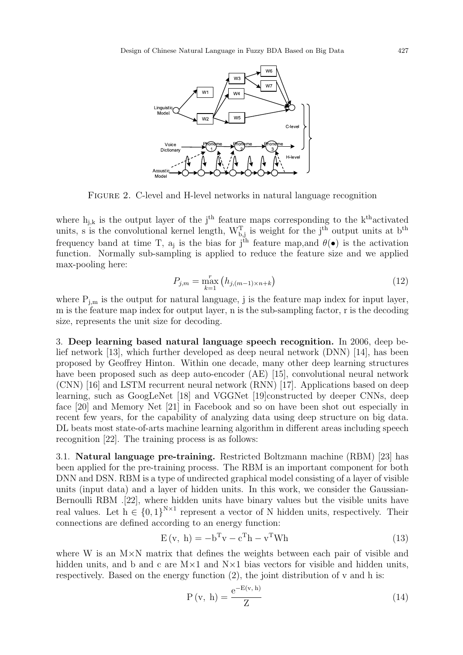

FIGURE 2. C-level and H-level networks in natural language recognition

where  $h_{j,k}$  is the output layer of the j<sup>th</sup> feature maps corresponding to the k<sup>th</sup>activated units, s is the convolutional kernel length,  $W_{b,j}^T$  is weight for the j<sup>th</sup> output units at b<sup>th</sup> frequency band at time T,  $a_j$  is the bias for j<sup>th</sup> feature map, and  $\theta(\bullet)$  is the activation function. Normally sub-sampling is applied to reduce the feature size and we applied max-pooling here:

$$
P_{j,m} = \max_{k=1}^{r} (h_{j,(m-1)\times n+k})
$$
\n(12)

where  $P_{j,m}$  is the output for natural language, j is the feature map index for input layer, m is the feature map index for output layer, n is the sub-sampling factor, r is the decoding size, represents the unit size for decoding.

3. Deep learning based natural language speech recognition. In 2006, deep belief network [13], which further developed as deep neural network (DNN) [14], has been proposed by Geoffrey Hinton. Within one decade, many other deep learning structures have been proposed such as deep auto-encoder (AE) [15], convolutional neural network (CNN) [16] and LSTM recurrent neural network (RNN) [17]. Applications based on deep learning, such as GoogLeNet [18] and VGGNet [19]constructed by deeper CNNs, deep face [20] and Memory Net [21] in Facebook and so on have been shot out especially in recent few years, for the capability of analyzing data using deep structure on big data. DL beats most state-of-arts machine learning algorithm in different areas including speech recognition [22]. The training process is as follows:

3.1. Natural language pre-training. Restricted Boltzmann machine (RBM) [23] has been applied for the pre-training process. The RBM is an important component for both DNN and DSN. RBM is a type of undirected graphical model consisting of a layer of visible units (input data) and a layer of hidden units. In this work, we consider the Gaussian-Bernoulli RBM .[22], where hidden units have binary values but the visible units have real values. Let  $h \in \{0,1\}^{N \times 1}$  represent a vector of N hidden units, respectively. Their connections are defined according to an energy function:

$$
E(v, h) = -bTv - cTh - vTWh
$$
\n(13)

where W is an  $M \times N$  matrix that defines the weights between each pair of visible and hidden units, and b and c are  $M \times 1$  and  $N \times 1$  bias vectors for visible and hidden units, respectively. Based on the energy function (2), the joint distribution of v and h is:

$$
P(v, h) = \frac{e^{-E(v, h)}}{Z}
$$
\n(14)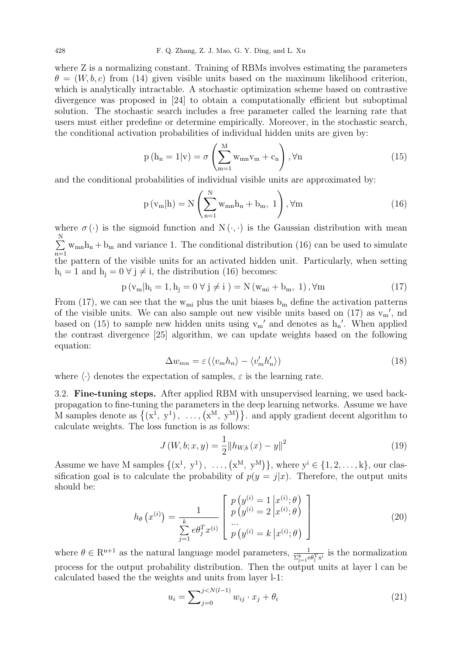where Z is a normalizing constant. Training of RBMs involves estimating the parameters  $\theta = (W, b, c)$  from (14) given visible units based on the maximum likelihood criterion, which is analytically intractable. A stochastic optimization scheme based on contrastive divergence was proposed in [24] to obtain a computationally efficient but suboptimal solution. The stochastic search includes a free parameter called the learning rate that users must either predefine or determine empirically. Moreover, in the stochastic search, the conditional activation probabilities of individual hidden units are given by:

$$
p(h_n = 1|v) = \sigma \left(\sum_{m=1}^{M} w_{mn} v_m + c_n\right), \forall n
$$
\n(15)

and the conditional probabilities of individual visible units are approximated by:

$$
p(v_m|h) = N\left(\sum_{n=1}^{N} w_{mn}h_n + b_m, 1\right), \forall m
$$
\n(16)

where  $\sigma(\cdot)$  is the sigmoid function and  $N(\cdot, \cdot)$  is the Gaussian distribution with mean  $\sum^N$  $n=1$  $w_{mn}h_n + b_m$  and variance 1. The conditional distribution (16) can be used to simulate the pattern of the visible units for an activated hidden unit. Particularly, when setting  $h_i = 1$  and  $h_i = 0 \forall j \neq i$ , the distribution (16) becomes:

$$
p(v_m|h_i = 1, h_j = 0 \,\forall \, j \neq i) = N(w_{mi} + b_m, 1), \forall m \tag{17}
$$

From (17), we can see that the  $w_{mi}$  plus the unit biases  $b_m$  define the activation patterns of the visible units. We can also sample out new visible units based on  $(17)$  as  $v_m'$ , nd based on (15) to sample new hidden units using  $v_m'$  and denotes as  $h_n'$ . When applied the contrast divergence [25] algorithm, we can update weights based on the following equation:

$$
\Delta w_{mn} = \varepsilon \left( \langle v_m h_n \rangle - \langle v'_m h'_n \rangle \right) \tag{18}
$$

where  $\langle \cdot \rangle$  denotes the expectation of samples,  $\varepsilon$  is the learning rate.

3.2. Fine-tuning steps. After applied RBM with unsupervised learning, we used backpropagation to fine-tuning the parameters in the deep learning networks. Assume we have M samples denote as  $\{(x^1, y^1), \ldots, (x^M, y^M)\}\$ . and apply gradient decent algorithm to calculate weights. The loss function is as follows:

$$
J(W, b; x, y) = \frac{1}{2} ||h_{W, b}(x) - y||^2
$$
\n(19)

Assume we have M samples  $\{(x^1, y^1), \ldots, (x^M, y^M)\}\$ , where  $y^i \in \{1, 2, \ldots, k\}$ , our classification goal is to calculate the probability of  $p(y = j|x)$ . Therefore, the output units should be:

$$
h_{\theta}\left(x^{(i)}\right) = \frac{1}{\sum_{j=1}^{k} e\theta_j^T x^{(i)}} \left[\begin{array}{l} p\left(y^{(i)} = 1 \middle| x^{(i)}; \theta\right) \\ p\left(y^{(i)} = 2 \middle| x^{(i)}; \theta\right) \\ \cdots \\ p\left(y^{(i)} = k \middle| x^{(i)}; \theta\right) \end{array}\right]
$$
(20)

where  $\theta \in \mathbb{R}^{n+1}$  as the natural language model parameters,  $\frac{1}{\sum_{j=1}^{k} e \theta_j^T x^i}$  is the normalization process for the output probability distribution. Then the output units at layer l can be calculated based the the weights and units from layer l-1:

$$
u_i = \sum_{j=0}^{j < N(l-1)} w_{ij} \cdot x_j + \theta_i \tag{21}
$$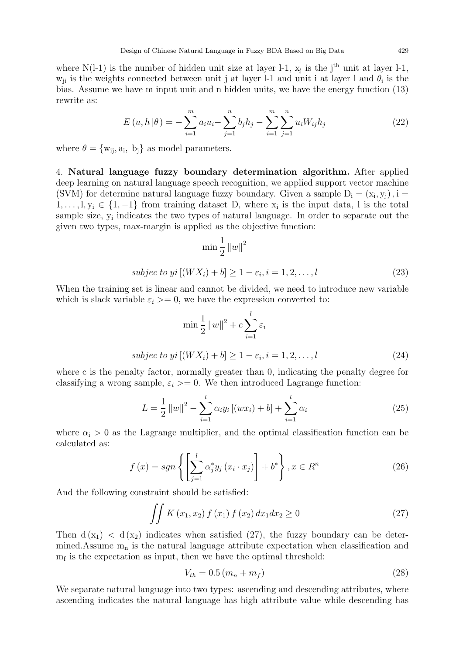where  $N(l-1)$  is the number of hidden unit size at layer l-1,  $x_j$  is the j<sup>th</sup> unit at layer l-1,  $w_{ji}$  is the weights connected between unit j at layer l-1 and unit i at layer l and  $\theta_i$  is the bias. Assume we have m input unit and n hidden units, we have the energy function (13) rewrite as:

$$
E(u, h | \theta) = -\sum_{i=1}^{m} a_i u_i - \sum_{j=1}^{n} b_j h_j - \sum_{i=1}^{m} \sum_{j=1}^{n} u_i W_{ij} h_j
$$
 (22)

where  $\theta = \{w_{ij}, a_i, b_j\}$  as model parameters.

4. Natural language fuzzy boundary determination algorithm. After applied deep learning on natural language speech recognition, we applied support vector machine (SVM) for determine natural language fuzzy boundary. Given a sample  $D_i = (x_i, y_j)$ , i =  $1, \ldots, l, y_i \in \{1, -1\}$  from training dataset D, where  $x_i$  is the input data, l is the total sample size,  $y_i$  indicates the two types of natural language. In order to separate out the given two types, max-margin is applied as the objective function:

$$
\min \frac{1}{2} ||w||^2
$$
  
subject to  $yi [(WX_i) + b] \ge 1 - \varepsilon_i, i = 1, 2, ..., l$  (23)

When the training set is linear and cannot be divided, we need to introduce new variable which is slack variable  $\varepsilon_i \geq 0$ , we have the expression converted to:

$$
\min \frac{1}{2} ||w||^2 + c \sum_{i=1}^{l} \varepsilon_i
$$
  
subject to  $yi [(WX_i) + b] \ge 1 - \varepsilon_i, i = 1, 2, ..., l$  (24)

where c is the penalty factor, normally greater than 0, indicating the penalty degree for classifying a wrong sample,  $\varepsilon_i$   $>=$  0. We then introduced Lagrange function:

$$
L = \frac{1}{2} ||w||^2 - \sum_{i=1}^{l} \alpha_i y_i [(wx_i) + b] + \sum_{i=1}^{l} \alpha_i
$$
 (25)

where  $\alpha_i > 0$  as the Lagrange multiplier, and the optimal classification function can be calculated as:

$$
f(x) = sgn\left\{ \left[ \sum_{j=1}^{l} \alpha_j^* y_j (x_i \cdot x_j) \right] + b^* \right\}, x \in R^n \tag{26}
$$

And the following constraint should be satisfied:

$$
\iint K(x_1, x_2) f(x_1) f(x_2) dx_1 dx_2 \ge 0
$$
\n(27)

Then  $d(x_1) < d(x_2)$  indicates when satisfied (27), the fuzzy boundary can be determined.Assume  $m_n$  is the natural language attribute expectation when classification and  $m_f$  is the expectation as input, then we have the optimal threshold:

$$
V_{th} = 0.5 (m_n + m_f) \tag{28}
$$

We separate natural language into two types: ascending and descending attributes, where ascending indicates the natural language has high attribute value while descending has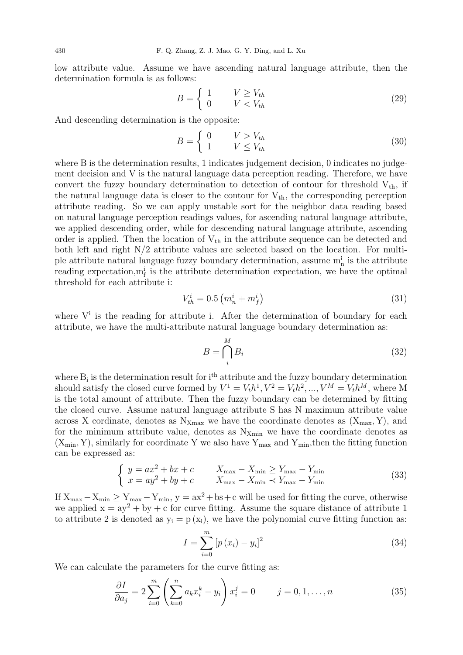low attribute value. Assume we have ascending natural language attribute, then the determination formula is as follows:

$$
B = \begin{cases} 1 & V \ge V_{th} \\ 0 & V < V_{th} \end{cases} \tag{29}
$$

And descending determination is the opposite:

$$
B = \begin{cases} 0 & V > V_{th} \\ 1 & V \le V_{th} \end{cases}
$$
 (30)

where B is the determination results, 1 indicates judgement decision, 0 indicates no judgement decision and V is the natural language data perception reading. Therefore, we have convert the fuzzy boundary determination to detection of contour for threshold  $V_{th}$ , if the natural language data is closer to the contour for  $V_{th}$ , the corresponding perception attribute reading. So we can apply unstable sort for the neighbor data reading based on natural language perception readings values, for ascending natural language attribute, we applied descending order, while for descending natural language attribute, ascending order is applied. Then the location of  $V_{th}$  in the attribute sequence can be detected and both left and right N/2 attribute values are selected based on the location. For multiple attribute natural language fuzzy boundary determination, assume  $m_n^i$  is the attribute reading expectation,  $m_f^i$  is the attribute determination expectation, we have the optimal threshold for each attribute i:

$$
V_{th}^{i} = 0.5 \left( m_{n}^{i} + m_{f}^{i} \right) \tag{31}
$$

where  $V^i$  is the reading for attribute i. After the determination of boundary for each attribute, we have the multi-attribute natural language boundary determination as:

$$
B = \bigcap_{i}^{M} B_i \tag{32}
$$

where  $B_i$  is the determination result for  $i<sup>th</sup>$  attribute and the fuzzy boundary determination should satisfy the closed curve formed by  $V^1 = V_t h^1, V^2 = V_t h^2, ..., V^M = V_t h^M$ , where M is the total amount of attribute. Then the fuzzy boundary can be determined by fitting the closed curve. Assume natural language attribute S has N maximum attribute value across X cordinate, denotes as  $N_{Xmax}$  we have the coordinate denotes as  $(X_{max}, Y)$ , and for the minimum attribute value, denotes as  $N_{Xmin}$  we have the coordinate denotes as  $(X_{\min}, Y)$ , similarly for coordinate Y we also have  $Y_{\max}$  and  $Y_{\min}$ , then the fitting function can be expressed as:

$$
\begin{cases}\ny = ax^2 + bx + c & X_{\text{max}} - X_{\text{min}} \ge Y_{\text{max}} - Y_{\text{min}} \\
x = ay^2 + by + c & X_{\text{max}} - X_{\text{min}} \prec Y_{\text{max}} - Y_{\text{min}}\n\end{cases}
$$
\n(33)

If  $X_{\text{max}} - X_{\text{min}} \ge Y_{\text{max}} - Y_{\text{min}}$ ,  $y = ax^2 + bs + c$  will be used for fitting the curve, otherwise we applied  $x = ay^2 + by + c$  for curve fitting. Assume the square distance of attribute 1 to attribute 2 is denoted as  $y_i = p(x_i)$ , we have the polynomial curve fitting function as:

$$
I = \sum_{i=0}^{m} [p(x_i) - y_i]^2
$$
 (34)

We can calculate the parameters for the curve fitting as:

$$
\frac{\partial I}{\partial a_j} = 2 \sum_{i=0}^m \left( \sum_{k=0}^n a_k x_i^k - y_i \right) x_i^j = 0 \qquad j = 0, 1, \dots, n \tag{35}
$$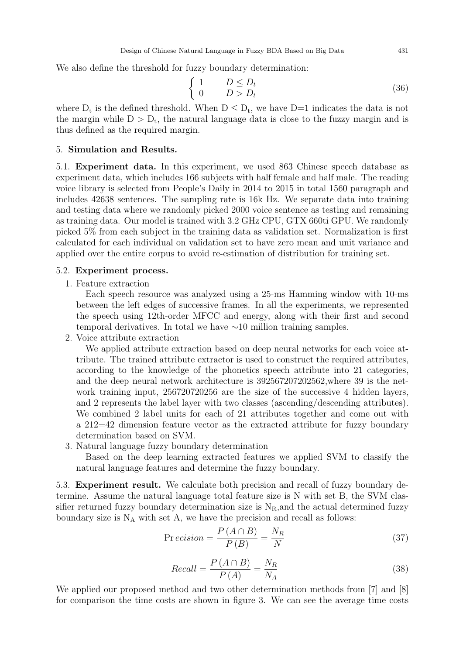We also define the threshold for fuzzy boundary determination:

$$
\begin{cases}\n1 & D \le D_t \\
0 & D > D_t\n\end{cases}
$$
\n(36)

where  $D_t$  is the defined threshold. When  $D \leq D_t$ , we have  $D=1$  indicates the data is not the margin while  $D > D_t$ , the natural language data is close to the fuzzy margin and is thus defined as the required margin.

# 5. Simulation and Results.

5.1. Experiment data. In this experiment, we used 863 Chinese speech database as experiment data, which includes 166 subjects with half female and half male. The reading voice library is selected from People's Daily in 2014 to 2015 in total 1560 paragraph and includes 42638 sentences. The sampling rate is 16k Hz. We separate data into training and testing data where we randomly picked 2000 voice sentence as testing and remaining as training data. Our model is trained with 3.2 GHz CPU, GTX 660ti GPU. We randomly picked 5% from each subject in the training data as validation set. Normalization is first calculated for each individual on validation set to have zero mean and unit variance and applied over the entire corpus to avoid re-estimation of distribution for training set.

## 5.2. Experiment process.

1. Feature extraction

Each speech resource was analyzed using a 25-ms Hamming window with 10-ms between the left edges of successive frames. In all the experiments, we represented the speech using 12th-order MFCC and energy, along with their first and second temporal derivatives. In total we have ∼10 million training samples.

2. Voice attribute extraction

We applied attribute extraction based on deep neural networks for each voice attribute. The trained attribute extractor is used to construct the required attributes, according to the knowledge of the phonetics speech attribute into 21 categories, and the deep neural network architecture is 392567207202562,where 39 is the network training input, 256720720256 are the size of the successive 4 hidden layers, and 2 represents the label layer with two classes (ascending/descending attributes). We combined 2 label units for each of 21 attributes together and come out with a 212=42 dimension feature vector as the extracted attribute for fuzzy boundary determination based on SVM.

3. Natural language fuzzy boundary determination

Based on the deep learning extracted features we applied SVM to classify the natural language features and determine the fuzzy boundary.

5.3. Experiment result. We calculate both precision and recall of fuzzy boundary determine. Assume the natural language total feature size is N with set B, the SVM classifier returned fuzzy boundary determination size is  $N_R$ , and the actual determined fuzzy boundary size is  $N_A$  with set A, we have the precision and recall as follows:

$$
Pr\,ecision = \frac{P(A \cap B)}{P(B)} = \frac{N_R}{N} \tag{37}
$$

$$
Recall = \frac{P(A \cap B)}{P(A)} = \frac{N_R}{N_A}
$$
\n(38)

We applied our proposed method and two other determination methods from [7] and [8] for comparison the time costs are shown in figure 3. We can see the average time costs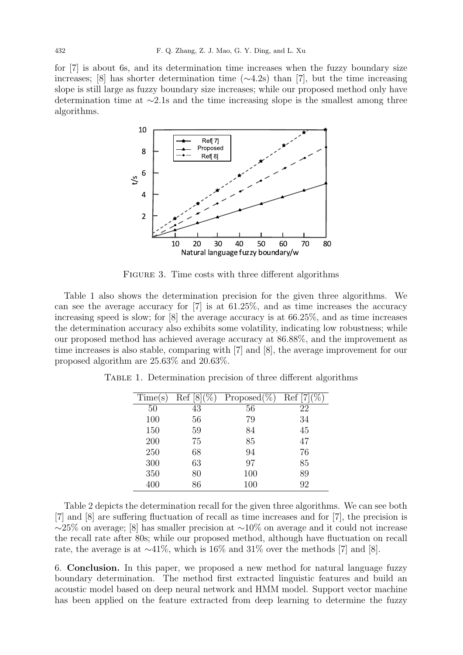for [7] is about 6s, and its determination time increases when the fuzzy boundary size increases; [8] has shorter determination time (∼4.2s) than [7], but the time increasing slope is still large as fuzzy boundary size increases; while our proposed method only have determination time at ∼2.1s and the time increasing slope is the smallest among three algorithms.



FIGURE 3. Time costs with three different algorithms

Table 1 also shows the determination precision for the given three algorithms. We can see the average accuracy for [7] is at 61.25%, and as time increases the accuracy increasing speed is slow; for [8] the average accuracy is at 66.25%, and as time increases the determination accuracy also exhibits some volatility, indicating low robustness; while our proposed method has achieved average accuracy at 86.88%, and the improvement as time increases is also stable, comparing with [7] and [8], the average improvement for our proposed algorithm are 25.63% and 20.63%.

| Time(s) | $\operatorname{Ref}$ [8](%) | $Proposed(\%)$ | Ref |
|---------|-----------------------------|----------------|-----|
| 50      | 43                          | 56             | 22  |
| 100     | 56                          | 79             | 34  |
| 150     | 59                          | 84             | 45  |
| 200     | 75                          | 85             | 47  |
| 250     | 68                          | 94             | 76  |
| 300     | 63                          | 97             | 85  |
| 350     | 80                          | 100            | 89  |
| 400     | 86                          | 100            | 92  |

Table 1. Determination precision of three different algorithms

Table 2 depicts the determination recall for the given three algorithms. We can see both [7] and [8] are suffering fluctuation of recall as time increases and for [7], the precision is ∼25% on average; [8] has smaller precision at ∼10% on average and it could not increase the recall rate after 80s; while our proposed method, although have fluctuation on recall rate, the average is at  $\sim$ 41%, which is 16% and 31% over the methods [7] and [8].

6. Conclusion. In this paper, we proposed a new method for natural language fuzzy boundary determination. The method first extracted linguistic features and build an acoustic model based on deep neural network and HMM model. Support vector machine has been applied on the feature extracted from deep learning to determine the fuzzy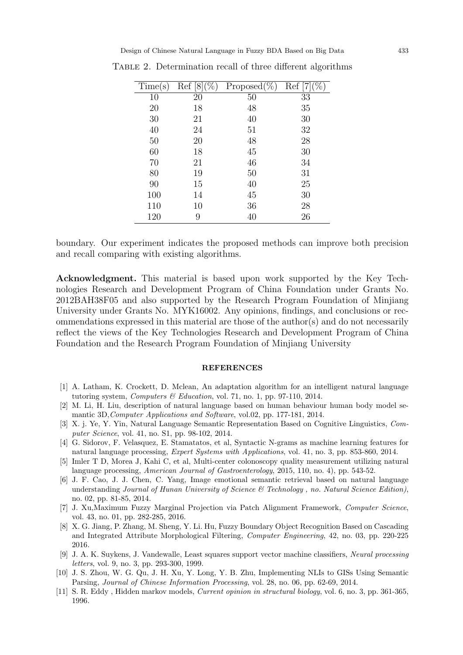Design of Chinese Natural Language in Fuzzy BDA Based on Big Data 433

| Time(s) | Ref<br>$[8]({\%}$ | $Proposed(\%)$ | Ref |
|---------|-------------------|----------------|-----|
| 10      | 20                | 50             | 33  |
| 20      | 18                | 48             | 35  |
| 30      | 21                | 40             | 30  |
| 40      | 24                | 51             | 32  |
| 50      | 20                | 48             | 28  |
| 60      | 18                | 45             | 30  |
| 70      | 21                | 46             | 34  |
| 80      | 19                | 50             | 31  |
| 90      | 15                | 40             | 25  |
| 100     | 14                | 45             | 30  |
| 110     | 10                | 36             | 28  |
| 120     | 9                 | 40             | 26  |

TABLE 2. Determination recall of three different algorithms

boundary. Our experiment indicates the proposed methods can improve both precision and recall comparing with existing algorithms.

Acknowledgment. This material is based upon work supported by the Key Technologies Research and Development Program of China Foundation under Grants No. 2012BAH38F05 and also supported by the Research Program Foundation of Minjiang University under Grants No. MYK16002. Any opinions, findings, and conclusions or recommendations expressed in this material are those of the author(s) and do not necessarily reflect the views of the Key Technologies Research and Development Program of China Foundation and the Research Program Foundation of Minjiang University

#### REFERENCES

- [1] A. Latham, K. Crockett, D. Mclean, An adaptation algorithm for an intelligent natural language tutoring system, Computers & Education, vol. 71, no. 1, pp. 97-110, 2014.
- [2] M. Li, H. Liu, description of natural language based on human behaviour human body model semantic 3D,Computer Applications and Software, vol.02, pp. 177-181, 2014.
- [3] X. j. Ye, Y. Yin, Natural Language Semantic Representation Based on Cognitive Linguistics, Computer Science, vol. 41, no. S1, pp. 98-102, 2014.
- [4] G. Sidorov, F. Velasquez, E. Stamatatos, et al, Syntactic N-grams as machine learning features for natural language processing, Expert Systems with Applications, vol. 41, no. 3, pp. 853-860, 2014.
- [5] Imler T D, Morea J, Kahi C, et al, Multi-center colonoscopy quality measurement utilizing natural language processing, American Journal of Gastroenterology, 2015, 110, no. 4), pp. 543-52.
- [6] J. F. Cao, J. J. Chen, C. Yang, Image emotional semantic retrieval based on natural language understanding Journal of Hunan University of Science  $\mathcal{B}'$  Technology, no. Natural Science Edition), no. 02, pp. 81-85, 2014.
- [7] J. Xu,Maximum Fuzzy Marginal Projection via Patch Alignment Framework, Computer Science, vol. 43, no. 01, pp. 282-285, 2016.
- [8] X. G. Jiang, P. Zhang, M. Sheng, Y. Li. Hu, Fuzzy Boundary Object Recognition Based on Cascading and Integrated Attribute Morphological Filtering, Computer Engineering, 42, no. 03, pp. 220-225 2016.
- [9] J. A. K. Suykens, J. Vandewalle, Least squares support vector machine classifiers, Neural processing letters, vol. 9, no. 3, pp. 293-300, 1999.
- [10] J. S. Zhou, W. G. Qu, J. H. Xu, Y. Long, Y. B. Zhu, Implementing NLIs to GISs Using Semantic Parsing, Journal of Chinese Information Processing, vol. 28, no. 06, pp. 62-69, 2014.
- [11] S. R. Eddy , Hidden markov models, Current opinion in structural biology, vol. 6, no. 3, pp. 361-365, 1996.